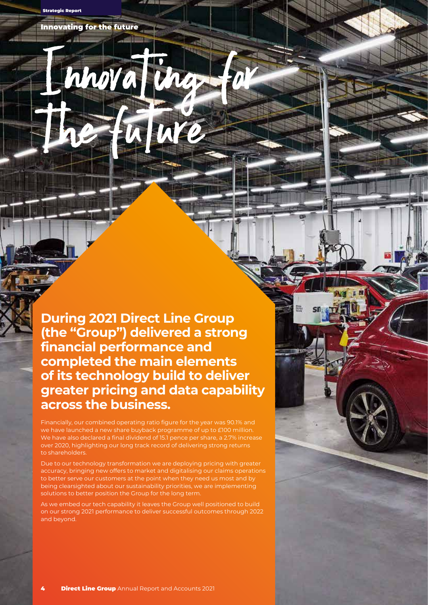Innovating for the future

Innova Urg

the future

**During 2021 Direct Line Group (the "Group") delivered a strong financial performance and completed the main elements of its technology build to deliver greater pricing and data capability across the business.**

Financially, our combined operating ratio figure for the year was 90.1% and we have launched a new share buyback programme of up to £100 million. We have also declared a final dividend of 15.1 pence per share, a 2.7% increase over 2020, highlighting our long track record of delivering strong returns to shareholders.

Due to our technology transformation we are deploying pricing with greater accuracy, bringing new offers to market and digitalising our claims operations to better serve our customers at the point when they need us most and by being clearsighted about our sustainability priorities, we are implementing solutions to better position the Group for the long term.

As we embed our tech capability it leaves the Group well positioned to build on our strong 2021 performance to deliver successful outcomes through 2022 and beyond.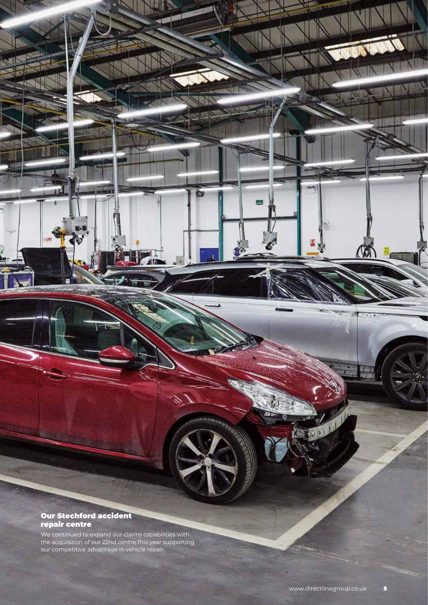#### Our Stechford accident repair centre

We continued to expand our claims capabilities with the acquisition of our 22nd centre this year supporting our competitive advantage in vehicle repair.

ò.

a masa pangyaya

ш

佳

 $\sigma$ 

 $\frac{1}{2}$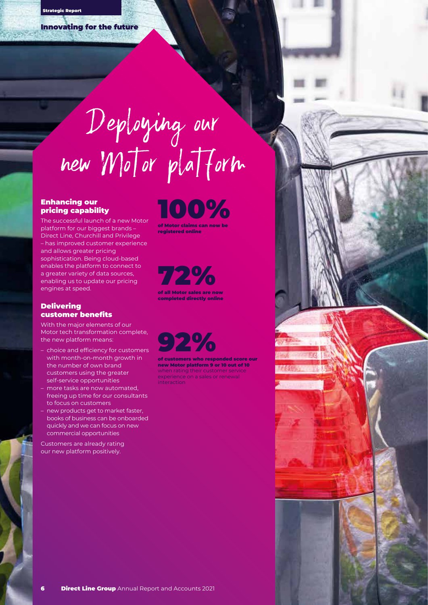Strategic Report

Innovating for the future

Deploying our new Motor platform

#### Enhancing our pricing capability

The successful launch of a new Motor platform for our biggest brands – Direct Line, Churchill and Privilege – has improved customer experience and allows greater pricing sophistication. Being cloud-based enables the platform to connect to a greater variety of data sources, enabling us to update our pricing engines at speed.

#### **Delivering** customer benefits

With the major elements of our Motor tech transformation complete, the new platform means:

- choice and efficiency for customers with month-on-month growth in the number of own brand customers using the greater self-service opportunities
- more tasks are now automated, freeing up time for our consultants to focus on customers
- new products get to market faster, books of business can be onboarded quickly and we can focus on new commercial opportunities

Customers are already rating our new platform positively.

### 100%

of Motor claims can now b registered online



92%

of customers who responded score our new Motor platform 9 or 10 out of 10 when rating their customer service experience on a sales or renewal interaction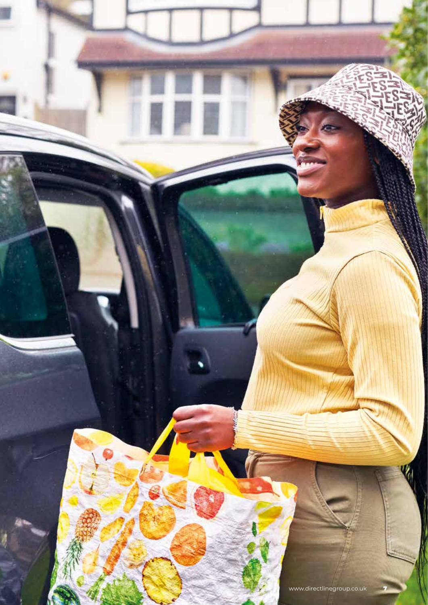www.directlinegroup.co.uk 7

ł

ς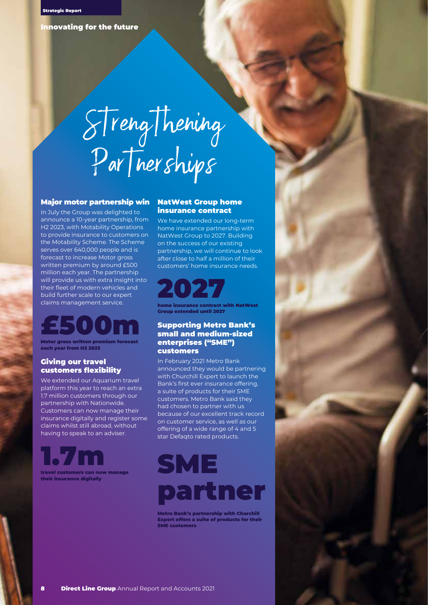Innovating for the future

# Strengthening Partnerships

#### Major motor partnership win

In July the Group was delighted to announce a 10-year partnership, from H2 2023, with Motability Operations to provide insurance to customers on the Motability Scheme. The Scheme serves over 640,000 people and is forecast to increase Motor gross written premium by around £500 million each year. The partnership will provide us with extra insight into their fleet of modern vehicles and build further scale to our expert claims management service.

## £500m Motor gross written premium forecast

each year from H2 2023

#### Giving our travel customers flexibility

We extended our Aquarium travel platform this year to reach an extra 1.7 million customers through our partnership with Nationwide. Customers can now manage their insurance digitally and register some claims whilst still abroad, without having to speak to an adviser.

1.7m travel customers can now manage their insurance digitally

#### NatWest Group home insurance contract

We have extended our long-term home insurance partnership with NatWest Group to 2027. Building on the success of our existing partnership, we will continue to look after close to half a million of their customers' home insurance needs.



home insurance contract with NatWest Group extended until 2027

#### Supporting Metro Bank's small and medium-sized enterprises ("SME") customers

In February 2021 Metro Bank announced they would be partnering with Churchill Expert to launch the Bank's first ever insurance offering, a suite of products for their SME customers. Metro Bank said they had chosen to partner with us because of our excellent track record on customer service, as well as our offering of a wide range of 4 and 5 star Defaqto rated products.

### SME partner

Metro Bank's partnership with Churchill Expert offers a suite of products for their SME customers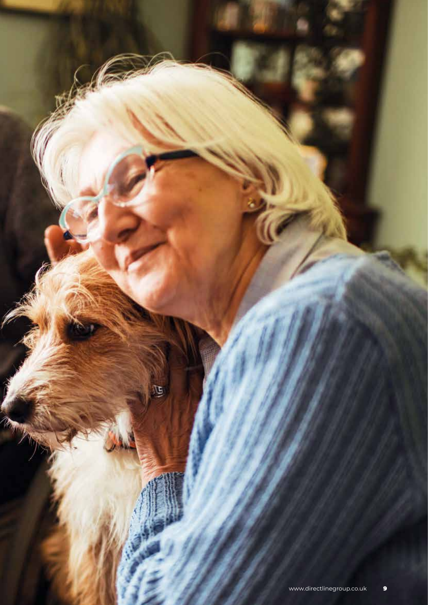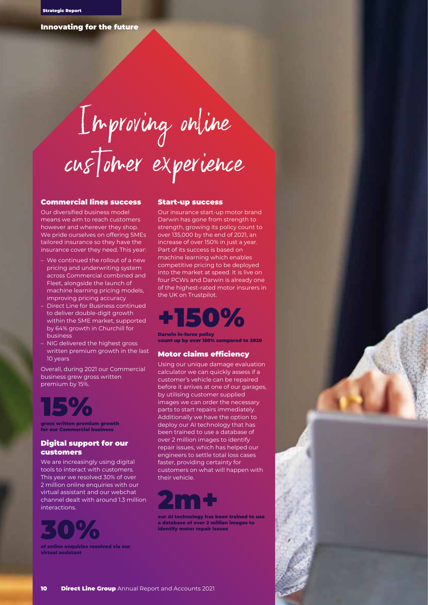Innovating for the future

# Improving online customer experience

#### Commercial lines success

Our diversified business model means we aim to reach customers however and wherever they shop. We pride ourselves on offering SMEs tailored insurance so they have the insurance cover they need. This year:

- We continued the rollout of a new pricing and underwriting system across Commercial combined and Fleet, alongside the launch of machine learning pricing models, improving pricing accuracy
- Direct Line for Business continued to deliver double-digit growth within the SME market, supported by 64% growth in Churchill for business
- NIG delivered the highest gross written premium growth in the last 10 years

Overall, during 2021 our Commercial business grew gross written premium by 15%.

![](_page_6_Picture_9.jpeg)

gross written premium growth for our Commercial business

#### Digital support for our customers

We are increasingly using digital tools to interact with customers. This year we resolved 30% of over 2 million online enquiries with our virtual assistant and our webchat channel dealt with around 1.3 million interactions.

30% of online enquiries resolved via our virtual assistant

#### Start-up success

Our insurance start-up motor brand Darwin has gone from strength to strength, growing its policy count to over 135,000 by the end of 2021, an increase of over 150% in just a year. Part of its success is based on machine learning which enables competitive pricing to be deployed into the market at speed. It is live on four PCWs and Darwin is already one of the highest-rated motor insurers in the UK on Trustpilot.

### +150%

Darwin in-force policy count up by over 150% compared to 2020

#### Motor claims efficiency

Using our unique damage evaluation calculator we can quickly assess if a customer's vehicle can be repaired before it arrives at one of our garages, by utilising customer supplied images we can order the necessary parts to start repairs immediately. Additionally we have the option to deploy our AI technology that has been trained to use a database of over 2 million images to identify repair issues, which has helped our engineers to settle total loss cases faster, providing certainty for customers on what will happen with their vehicle.

### 2m+

our AI technology has been trained to use a database of over 2 million images to identify motor repair issues